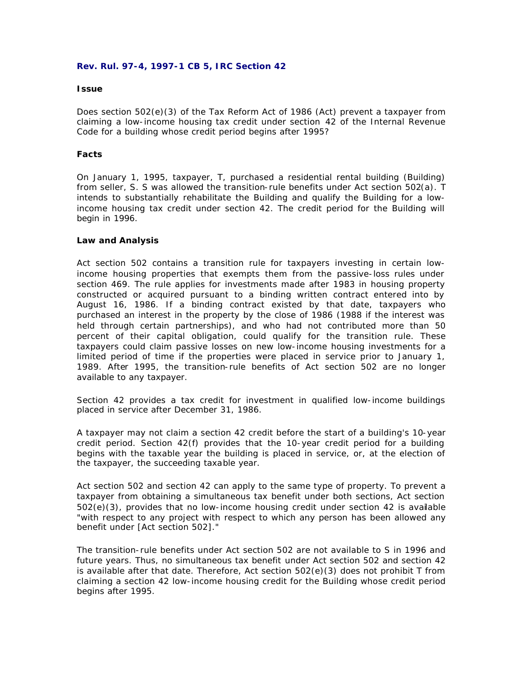#### **Rev. Rul. 97-4, 1997-1 CB 5, IRC Section 42**

#### **Issue**

Does section 502(e)(3) of the Tax Reform Act of 1986 (Act) prevent a taxpayer from claiming a low-income housing tax credit under section 42 of the Internal Revenue Code for a building whose credit period begins after 1995?

### **Facts**

On January 1, 1995, taxpayer, T, purchased a residential rental building (Building) from seller, S. S was allowed the transition-rule benefits under Act section 502(a). T intends to substantially rehabilitate the Building and qualify the Building for a lowincome housing tax credit under section 42. The credit period for the Building will begin in 1996.

#### **Law and Analysis**

Act section 502 contains a transition rule for taxpayers investing in certain lowincome housing properties that exempts them from the passive-loss rules under section 469. The rule applies for investments made after 1983 in housing property constructed or acquired pursuant to a binding written contract entered into by August 16, 1986. If a binding contract existed by that date, taxpayers who purchased an interest in the property by the close of 1986 (1988 if the interest was held through certain partnerships), and who had not contributed more than 50 percent of their capital obligation, could qualify for the transition rule. These taxpayers could claim passive losses on new low-income housing investments for a limited period of time if the properties were placed in service prior to January 1, 1989. After 1995, the transition-rule benefits of Act section 502 are no longer available to any taxpayer.

Section 42 provides a tax credit for investment in qualified low-income buildings placed in service after December 31, 1986.

A taxpayer may not claim a section 42 credit before the start of a building's 10-year credit period. Section 42(f) provides that the 10-year credit period for a building begins with the taxable year the building is placed in service, or, at the election of the taxpayer, the succeeding taxable year.

Act section 502 and section 42 can apply to the same type of property. To prevent a taxpayer from obtaining a simultaneous tax benefit under both sections, Act section 502(e)(3), provides that no low-income housing credit under section 42 is available "with respect to any project with respect to which any person has been allowed any benefit under [Act section 502]."

The transition-rule benefits under Act section 502 are not available to S in 1996 and future years. Thus, no simultaneous tax benefit under Act section 502 and section 42 is available after that date. Therefore, Act section 502(e)(3) does not prohibit T from claiming a section 42 low-income housing credit for the Building whose credit period begins after 1995.